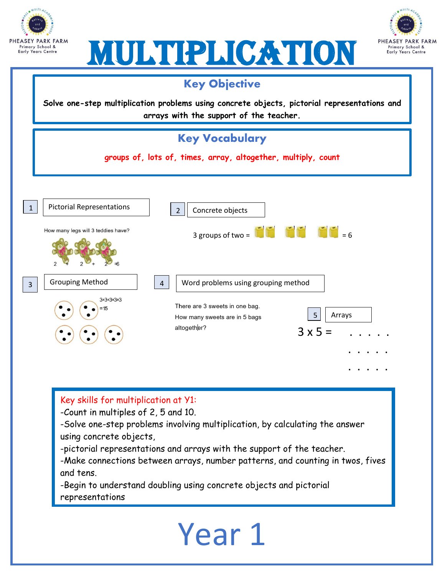



Primary School &<br>Early Years Centre



### Key skills for multiplication at Y1:

-Count in multiples of 2, 5 and 10.

-Solve one-step problems involving multiplication, by calculating the answer using concrete objects,

-pictorial representations and arrays with the support of the teacher.

-Make connections between arrays, number patterns, and counting in twos, fives and tens.

-Begin to understand doubling using concrete objects and pictorial representations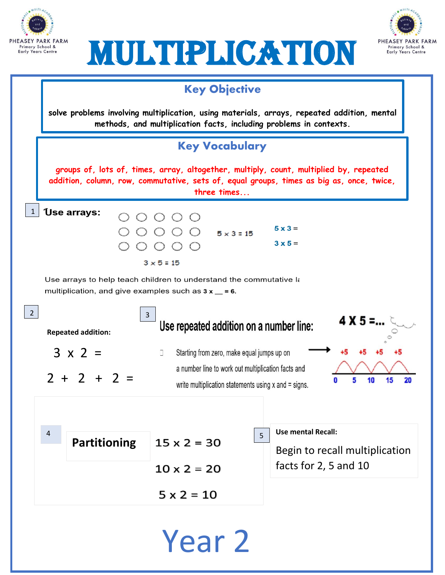



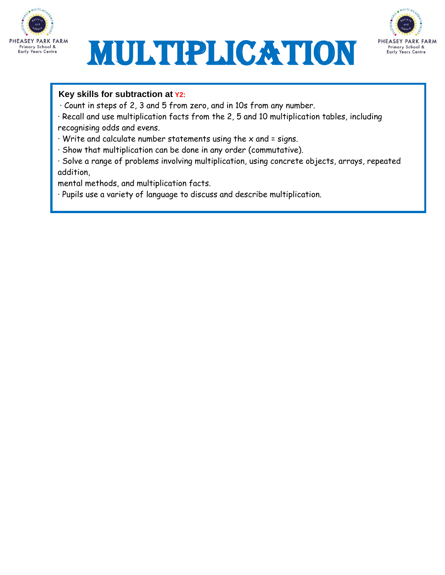





### **Key skills for subtraction at Y2:**

· Count in steps of 2, 3 and 5 from zero, and in 10s from any number.

- · Recall and use multiplication facts from the 2, 5 and 10 multiplication tables, including recognising odds and evens.
- · Write and calculate number statements using the x and = signs.
- · Show that multiplication can be done in any order (commutative).

· Solve a range of problems involving multiplication, using concrete objects, arrays, repeated addition,

mental methods, and multiplication facts.

· Pupils use a variety of language to discuss and describe multiplication.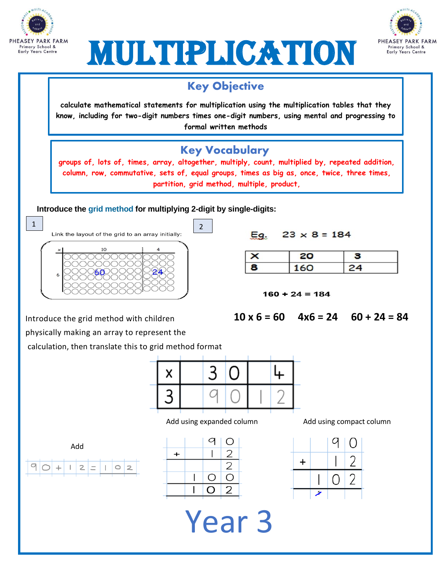



## Key Objective

**calculate mathematical statements for multiplication using the multiplication tables that they know, including for two-digit numbers times one-digit numbers, using mental and progressing to formal written methods**

#### **.** Key Vocabulary

**groups of, lots of, times, array, altogether, multiply, count, multiplied by, repeated addition, column, row, commutative, sets of, equal groups, times as big as, once, twice, three times, partition, grid method, multiple, product,**

 **Introduce the grid method for multiplying 2-digit by single-digits:** 



 $\overline{\mathbf{1}}$  2



| Eg. |  |  |  |  | $23 \times 8 = 184$ |
|-----|--|--|--|--|---------------------|
|-----|--|--|--|--|---------------------|

|   | 20 |  |  |
|---|----|--|--|
| 8 | LΩ |  |  |

 $160 + 24 = 184$ 

Introduce the grid method with children

$$
10 \times 6 = 60 \quad 4 \times 6 = 24 \quad 60 + 24 = 84
$$

physically making an array to represent the

calculation, then translate this to grid method format



Add using expanded column and Add using compact column





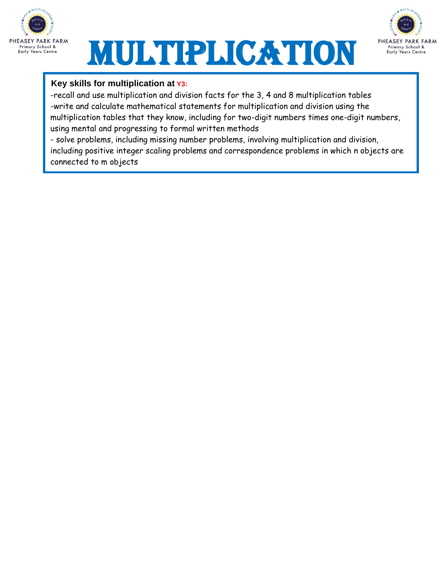





### **Key skills for multiplication at Y3:**

-recall and use multiplication and division facts for the 3, 4 and 8 multiplication tables -write and calculate mathematical statements for multiplication and division using the multiplication tables that they know, including for two-digit numbers times one-digit numbers, using mental and progressing to formal written methods

- solve problems, including missing number problems, involving multiplication and division, including positive integer scaling problems and correspondence problems in which n objects are connected to m objects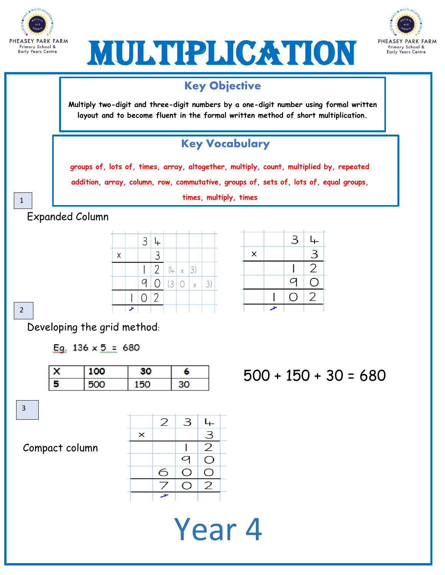



## Key Objective

**Multiply two-digit and three-digit numbers by a one-digit number using formal written layout and to become fluent in the formal written method of short multiplication.**

## Key Vocabulary

**groups of, lots of, times, array, altogether, multiply, count, multiplied by, repeated**

**addition, array, column, row, commutative, groups of, sets of, lots of, equal groups,** 

**times, multiply, times**

 Expanded Column **inverse**  as big as, once, twice, twice, twice, three times... partition, grid method, total, multiple, product, sets of<br>As, once, sets of, multiple, product, sets of, product, sets of, product, sets of, product, sets of, product,

|   |                | 3 4                    |  |    |
|---|----------------|------------------------|--|----|
| X |                | $\mathbf{R}$           |  |    |
|   |                | $2   (+   \times   3)$ |  |    |
|   |                | 90130x                 |  | 3) |
|   | 0 <sup>2</sup> |                        |  |    |
|   |                |                        |  |    |

|   |   | 3      | ↳ |
|---|---|--------|---|
| × |   |        | З |
|   |   |        | 2 |
|   |   | q      | O |
|   |   | $\Box$ | Z |
|   | ◢ |        |   |

2

1

Developing the grid method:

Eq.  $136 \times 5 = 680$ 

 $500 + 150 + 30 = 680$ 

3

Compact column

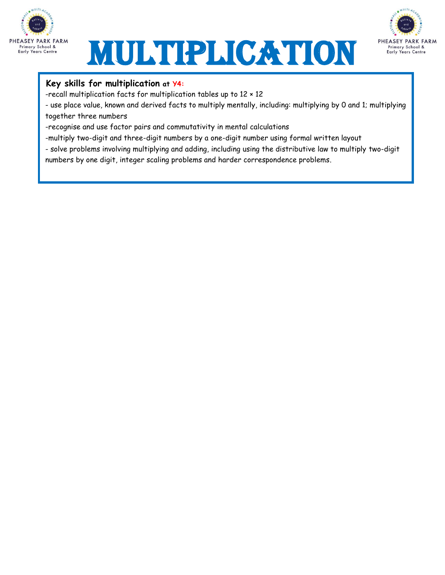



### **Key skills for multiplication at Y4:**

-recall multiplication facts for multiplication tables up to 12 × 12

- use place value, known and derived facts to multiply mentally, including: multiplying by 0 and 1; multiplying together three numbers

-recognise and use factor pairs and commutativity in mental calculations

-multiply two-digit and three-digit numbers by a one-digit number using formal written layout

- solve problems involving multiplying and adding, including using the distributive law to multiply two-digit numbers by one digit, integer scaling problems and harder correspondence problems.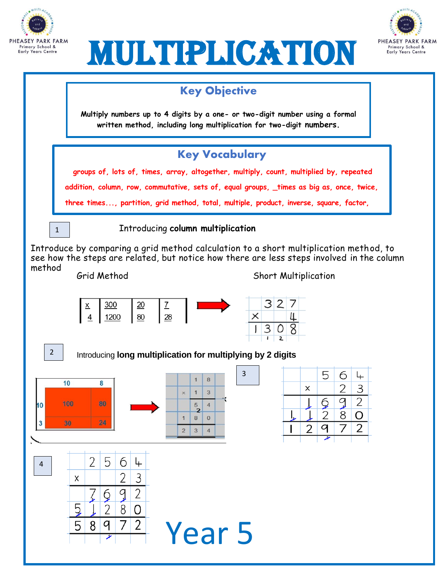



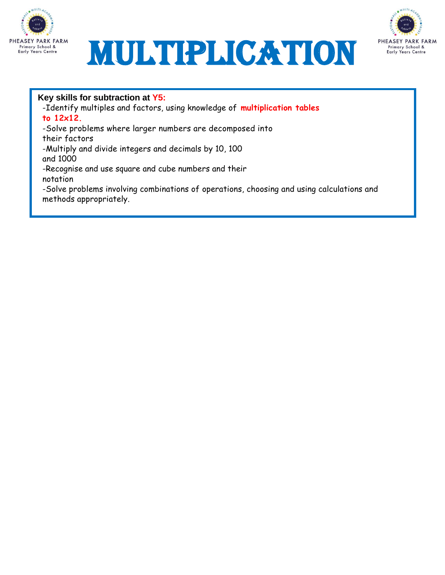





### **Key skills for subtraction at Y5:**

-Identify multiples and factors, using knowledge of **multiplication tables to 12x12.** 

-Solve problems where larger numbers are decomposed into

their factors

-Multiply and divide integers and decimals by 10, 100 and 1000

-Recognise and use square and cube numbers and their notation

-Solve problems involving combinations of operations, choosing and using calculations and methods appropriately.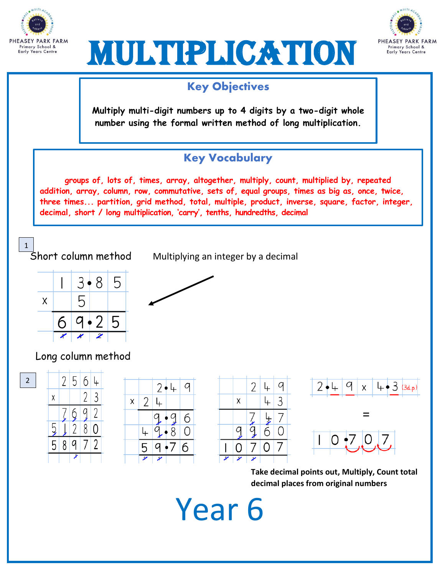



#### Key Objectives **Multiply multi-digit numbers up to 4 digits by a two-digit whole number using the formal written method of long multiplication.** Key Vocabulary **groups of, lots of, times, array, altogether, multiply, count, multiplied by, repeated**  1 **addition, array, column, row, commutative, sets of, equal groups, times as big as, once, twice, three times... partition, grid method, total, multiple, product, inverse, square, factor, integer,**  Adding with decimal points **decimal, short / long multiplication, 'carry', tenths, hundredths, decimal** 1 Short column method Multiplying an integer by a decimal  $3 \cdot 8$ 5 5 X 5 2 9 6 Long column method  $2|5|6$ 24  $\overline{2}$ q  $L \bullet 3$  (3d.p.) 2•4 4 9 2•4 q  $\mathsf{x}$ 2 3 X  $\overline{2}$ 3  $\times$ 4 X ┕  $\varphi$  $\int$  $2\,$  $=$ Ļ 7 q q 6  $\overline{2}$  $8|0$ 9  $\frac{0}{2}$ 6 4 8 0 0  $8$ 9 5  $\Omega$ 5 6 7 Ω **Take decimal points out, Multiply, Count total decimal places from original numbers**